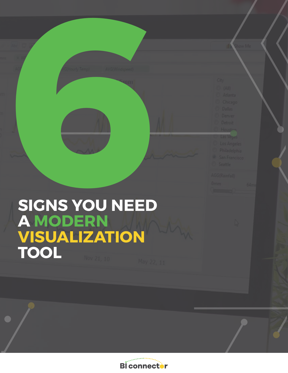

**Bi** connector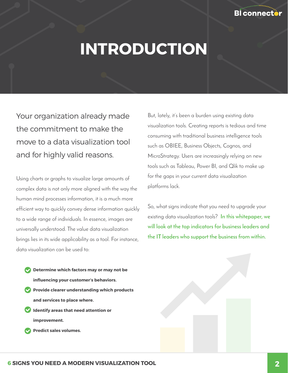

# **INTRODUCTION**

Your organization already made the commitment to make the move to a data visualization tool and for highly valid reasons.

Using charts or graphs to visualize large amounts of complex data is not only more aligned with the way the human mind processes information, it is a much more efficient way to quickly convey dense information quickly to a wide range of individuals. In essence, images are universally understood. The value data visualization brings lies in its wide applicability as a tool. For instance, data visualization can be used to:

But, lately, it's been a burden using existing data visualization tools. Creating reports is tedious and time consuming with traditional business intelligence tools such as OBIEE, Business Objects, Cognos, and MicroStrategy. Users are increasingly relying on new tools such as Tableau, Power BI, and Qlik to make up for the gaps in your current data visualization platforms lack.

So, what signs indicate that you need to upgrade your existing data visualization tools? **In this whitepaper, we will look at the top indicators for business leaders and the IT leaders who support the business from within.**



 **improvement.**

 **Predict sales volumes.**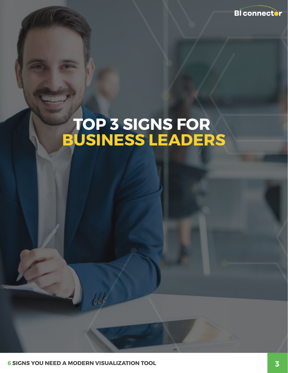

## **TOP 3 SIGNS FOR BUSINESS LEADERS**

**6 SIGNS YOU NEED A MODERN VISUALIZATION TOOL**

 $bbb$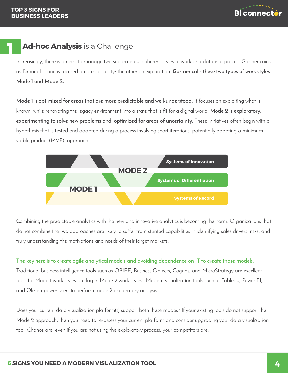**1**



### **Ad-hoc Analysis** is a Challenge

Increasingly, there is a need to manage two separate but coherent styles of work and data in a process Gartner coins as Bimodal — one is focused on predictability; the other on exploration. **Gartner calls these two types of work styles Mode 1 and Mode 2.**

**Mode 1 is optimized for areas that are more predictable and well-understood.** It focuses on exploiting what is known, while renovating the legacy environment into a state that is fit for a digital world. **Mode 2 is exploratory, experimenting to solve new problems and optimized for areas of uncertainty.** These initiatives often begin with a hypothesis that is tested and adapted during a process involving short iterations, potentially adopting a minimum viable product (MVP) approach.



Combining the predictable analytics with the new and innovative analytics is becoming the norm. Organizations that do not combine the two approaches are likely to suffer from stunted capabilities in identifying sales drivers, risks, and truly understanding the motivations and needs of their target markets.

#### **The key here is to create agile analytical models and avoiding dependence on IT to create those models.**

Traditional business intelligence tools such as OBIEE, Business Objects, Cognos, and MicroStrategy are excellent tools for Mode 1 work styles but lag in Mode 2 work styles. Modern visualization tools such as Tableau, Power BI, and Qlik empower users to perform mode 2 exploratory analysis.

Does your current data visualization platform(s) support both these modes? If your existing tools do not support the Mode 2 approach, then you need to re-assess your current platform and consider upgrading your data visualization tool. Chance are, even if you are not using the exploratory process, your competitors are.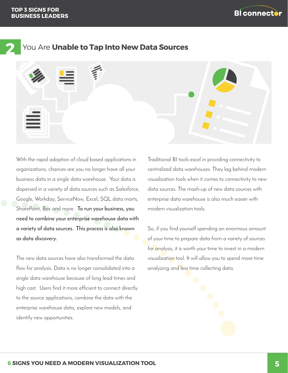



## **2** You Are **Unable to Tap Into New Data Sources**

With the rapid adoption of cloud based applications in organizations, chances are you no longer have all your business data in a single data warehouse. Your data is dispersed in a variety of data sources such as Salesforce, Google, Workday, ServiceNow, Excel, SQL data marts, SharePoint, Box and more. **To run your business, you need to combine your enterprise warehouse data with a variety of data sources. This process is also known as data discovery.**

The new data sources have also transformed the data flow for analysis. Data is no longer consolidated into a single data warehouse because of long lead times and high cost. Users find it more efficient to connect directly to the source applications, combine the data with the enterprise warehouse data, explore new models, and identify new opportunities.

Traditional BI tools excel in providing connectivity to centralized data warehouses. They lag behind modern visualization tools when it comes to connectivity to new data sources. The mash-up of new data sources with enterprise data warehouse is also much easier with modern visualization tools.

So, if you find yourself spending an enormous amount of your time to prepare data from a variety of sources for analysis, it is worth your time to invest in a modern visualization tool. It will allow you to spend more time analyzing and less time collecting data.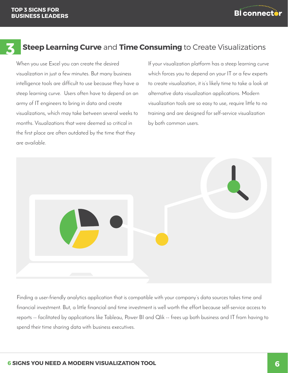

#### **Steep Learning Curve** and **Time Consuming** to Create Visualizations **3**

When you use Excel you can create the desired visualization in just a few minutes. But many business intelligence tools are difficult to use because they have a steep learning curve. Users often have to depend on an army of IT engineers to bring in data and create visualizations, which may take between several weeks to months. Visualizations that were deemed so critical in the first place are often outdated by the time that they are available.

If your visualization platform has a steep learning curve which forces you to depend on your IT or a few experts to create visualization, it is's likely time to take a look at alternative data visualization applications. Modern visualization tools are so easy to use, require little to no training and are designed for self-service visualization by both common users.



Finding a user-friendly analytics application that is compatible with your company's data sources takes time and financial investment. But, a little financial and time investment is well worth the effort because self-service access to reports -- facilitated by applications like Tableau, Power BI and Qlik -- frees up both business and IT from having to spend their time sharing data with business executives.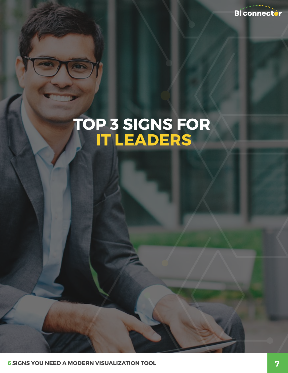**Bl** connector

## **TOP 3 SIGNS FOR IT LEADERS**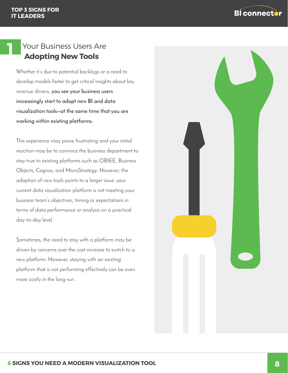**1**



## Your Business Users Are  **Adopting New Tools**

Whether it's due to potential backlogs or a need to develop models faster to get critical insights about key revenue drivers, **you see your business users increasingly start to adopt new BI and data visualization tools—at the same time that you are working within existing platforms.**

This experience may prove frustrating and your initial reaction may be to convince the business department to stay true to existing platforms such as OBIEE, Business Objects, Cognos, and MicroStrategy. However, the adoption of new tools points to a larger issue: your current data visualization platform is not meeting your business team's objectives, timing or expectations in terms of data performance or analysis on a practical day-to-day level.

Sometimes, the need to stay with a platform may be driven by concerns over the cost increase to switch to a new platform. However, staying with an existing platform that is not performing effectively can be even more costly in the long run.

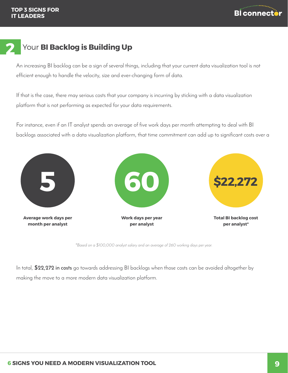

#### Your **BI Backlog is Building Up 2**

An increasing BI backlog can be a sign of several things, including that your current data visualization tool is not efficient enough to handle the velocity, size and ever-changing form of data.

If that is the case, there may serious costs that your company is incurring by sticking with a data visualization platform that is not performing as expected for your data requirements.

For instance, even if an IT analyst spends an average of five work days per month attempting to deal with BI backlogs associated with a data visualization platform, that time commitment can add up to significant costs over a



*\*Based on a \$100,000 analyst salary and an average of 260 working days per year.*

In total, **\$22,272 in costs** go towards addressing BI backlogs when those costs can be avoided altogether by making the move to a more modern data visualization platform.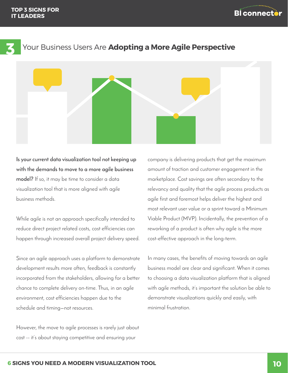



#### Your Business Users Are **Adopting a More Agile Perspective**

**Is your current data visualization tool not keeping up with the demands to move to a more agile business model?** If so, it may be time to consider a data visualization tool that is more aligned with agile business methods.

While agile is not an approach specifically intended to reduce direct project related costs, cost efficiencies can happen through increased overall project delivery speed.

Since an agile approach uses a platform to demonstrate development results more often, feedback is constantly incorporated from the stakeholders, allowing for a better chance to complete delivery on-time. Thus, in an agile environment, cost efficiencies happen due to the schedule and timing—not resources.

However, the move to agile processes is rarely just about cost -- it's about staying competitive and ensuring your

company is delivering products that get the maximum amount of traction and customer engagement in the marketplace. Cost savings are often secondary to the relevancy and quality that the agile process products as agile first and foremost helps deliver the highest and most relevant user value or a sprint toward a Minimum Viable Product (MVP). Incidentally, the prevention of a reworking of a product is often why agile is the more cost-effective approach in the long-term.

In many cases, the benefits of moving towards an agile business model are clear and significant. When it comes to choosing a data visualization platform that is aligned with agile methods, it's important the solution be able to demonstrate visualizations quickly and easily, with minimal frustration.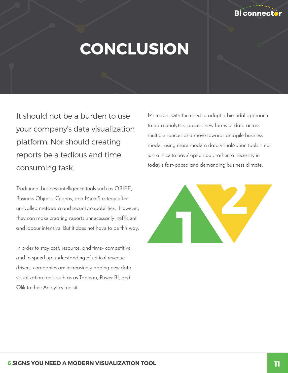

## **CONCLUSION**

It should not be a burden to use your company's data visualization platform. Nor should creating reports be a tedious and time consuming task.

Traditional business intelligence tools such as OBIEE, Business Objects, Cognos, and MicroStrategy offer unrivalled metadata and security capabilities. However, they can make creating reports unnecessarily inefficient and labour intensive. But it does not have to be this way.

In order to stay cost, resource, and time- competitive and to speed up understanding of critical revenue drivers, companies are increasingly adding new data visualization tools such as as Tableau, Power BI, and Qlik to their Analytics toolkit.

Moreover, with the need to adopt a bimodal approach to data analytics, process new forms of data across multiple sources and move towards an agile business model, using more modern data visualization tools is not just a 'nice to have' option but, rather, a necessity in today's fast-paced and demanding business climate.